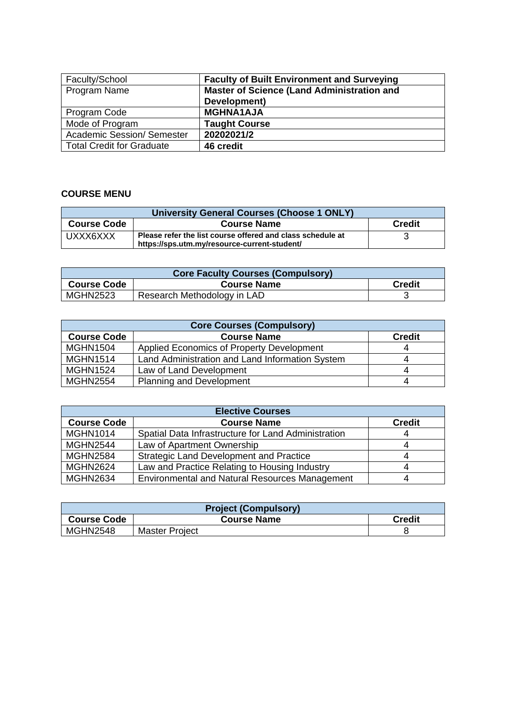| Faculty/School                    | <b>Faculty of Built Environment and Surveying</b> |
|-----------------------------------|---------------------------------------------------|
| Program Name                      | <b>Master of Science (Land Administration and</b> |
|                                   | Development)                                      |
| Program Code                      | <b>MGHNA1AJA</b>                                  |
| Mode of Program                   | <b>Taught Course</b>                              |
| <b>Academic Session/ Semester</b> | 20202021/2                                        |
| <b>Total Credit for Graduate</b>  | 46 credit                                         |

## **COURSE MENU**

| <b>University General Courses (Choose 1 ONLY)</b> |                                                                                                            |  |  |
|---------------------------------------------------|------------------------------------------------------------------------------------------------------------|--|--|
| <b>Course Code</b>                                | <b>Credit</b>                                                                                              |  |  |
| UXXX6XXX                                          | Please refer the list course offered and class schedule at<br>https://sps.utm.my/resource-current-student/ |  |  |

| <b>Core Faculty Courses (Compulsory)</b> |                             |               |  |
|------------------------------------------|-----------------------------|---------------|--|
| <b>Course Code</b>                       | <b>Course Name</b>          | <b>Credit</b> |  |
| <b>MGHN2523</b>                          | Research Methodology in LAD |               |  |

| <b>Core Courses (Compulsory)</b> |                                                 |               |  |
|----------------------------------|-------------------------------------------------|---------------|--|
| <b>Course Code</b>               | <b>Course Name</b>                              | <b>Credit</b> |  |
| <b>MGHN1504</b>                  | Applied Economics of Property Development       |               |  |
| <b>MGHN1514</b>                  | Land Administration and Land Information System |               |  |
| <b>MGHN1524</b>                  | Law of Land Development                         |               |  |
| <b>MGHN2554</b>                  | <b>Planning and Development</b>                 |               |  |

| <b>Elective Courses</b> |                                                       |               |  |
|-------------------------|-------------------------------------------------------|---------------|--|
| <b>Course Code</b>      | <b>Course Name</b>                                    | <b>Credit</b> |  |
| <b>MGHN1014</b>         | Spatial Data Infrastructure for Land Administration   |               |  |
| <b>MGHN2544</b>         | Law of Apartment Ownership                            |               |  |
| <b>MGHN2584</b>         | <b>Strategic Land Development and Practice</b>        |               |  |
| <b>MGHN2624</b>         | Law and Practice Relating to Housing Industry         |               |  |
| <b>MGHN2634</b>         | <b>Environmental and Natural Resources Management</b> |               |  |

| <b>Project (Compulsory)</b> |                       |               |  |
|-----------------------------|-----------------------|---------------|--|
| <b>Course Code</b>          | <b>Course Name</b>    | <b>Credit</b> |  |
| <b>MGHN2548</b>             | <b>Master Project</b> |               |  |